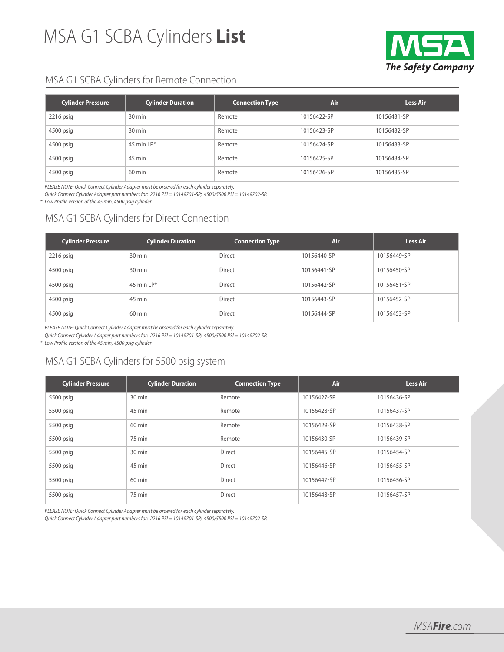

## MSA G1 SCBA Cylinders for Remote Connection

| <b>Cylinder Pressure</b> | <b>Cylinder Duration</b> | <b>Connection Type</b> | Air         | <b>Less Air</b> |
|--------------------------|--------------------------|------------------------|-------------|-----------------|
| $2216$ psig              | 30 min                   | Remote                 | 10156422-SP | 10156431-SP     |
| 4500 psig                | 30 min                   | Remote                 | 10156423-SP | 10156432-SP     |
| 4500 psig                | 45 min $LP^*$            | Remote                 | 10156424-SP | 10156433-SP     |
| 4500 psig                | 45 min                   | Remote                 | 10156425-SP | 10156434-SP     |
| 4500 psig                | $60$ min                 | Remote                 | 10156426-SP | 10156435-SP     |

PLEASE NOTE: Quick Connect Cylinder Adapter must be ordered for each cylinder separately.

Quick Connect Cylinder Adapter part numbersfor: 2216 PSI = 10149701-SP; 4500/5500 PSI = 10149702-SP.

\* Low Profile version of the 45 min, 4500 psig cylinder

# MSA G1 SCBA Cylinders for Direct Connection

| <b>Cylinder Pressure</b> | <b>Cylinder Duration</b> | <b>Connection Type</b> | Air         | <b>Less Air</b> |
|--------------------------|--------------------------|------------------------|-------------|-----------------|
| $2216$ psig              | 30 min                   | <b>Direct</b>          | 10156440-SP | 10156449-SP     |
| 4500 psig                | 30 min                   | Direct                 | 10156441-SP | 10156450-SP     |
| 4500 psig                | 45 min $LP^*$            | Direct                 | 10156442-SP | 10156451-SP     |
| 4500 psig                | 45 min                   | <b>Direct</b>          | 10156443-SP | 10156452-SP     |
| 4500 psig                | 60 min                   | <b>Direct</b>          | 10156444-SP | 10156453-SP     |

PLEASE NOTE: Quick Connect Cylinder Adapter must be ordered for each cylinder separately.

Quick Connect Cylinder Adapter part numbersfor: 2216 PSI = 10149701-SP; 4500/5500 PSI = 10149702-SP.

\* Low Profile version of the 45 min, 4500 psig cylinder

# MSA G1 SCBA Cylinders for 5500 psig system

| <b>Cylinder Pressure</b> | <b>Cylinder Duration</b> | <b>Connection Type</b> | Air         | <b>Less Air</b> |
|--------------------------|--------------------------|------------------------|-------------|-----------------|
| 5500 psig                | 30 min                   | Remote                 | 10156427-SP | 10156436-SP     |
| 5500 psig                | 45 min                   | Remote                 | 10156428-SP | 10156437-SP     |
| 5500 psig                | $60 \text{ min}$         | Remote                 | 10156429-SP | 10156438-SP     |
| 5500 psig                | 75 min                   | Remote                 | 10156430-SP | 10156439-SP     |
| 5500 psig                | 30 min                   | Direct                 | 10156445-SP | 10156454-SP     |
| 5500 psig                | 45 min                   | Direct                 | 10156446-SP | 10156455-SP     |
| 5500 psig                | 60 min                   | Direct                 | 10156447-SP | 10156456-SP     |
| 5500 psig                | 75 min                   | Direct                 | 10156448-SP | 10156457-SP     |

PLEASE NOTE: Quick Connect Cylinder Adapter must be ordered for each cylinder separately.

Quick Connect Cylinder Adapter part numbers for: 2216 PSI = 10149701-SP; 4500/5500 PSI = 10149702-SP.